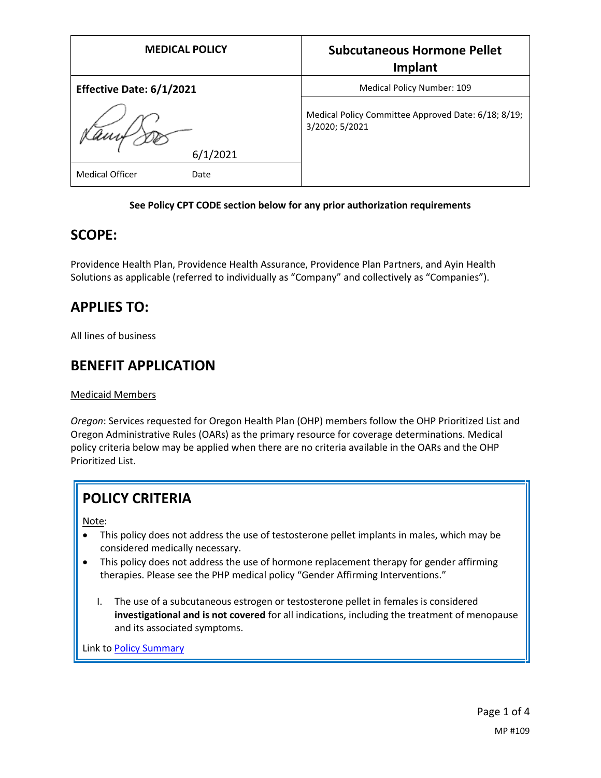| <b>MEDICAL POLICY</b>          | <b>Subcutaneous Hormone Pellet</b><br>Implant                         |
|--------------------------------|-----------------------------------------------------------------------|
| Effective Date: 6/1/2021       | Medical Policy Number: 109                                            |
| 6/1/2021                       | Medical Policy Committee Approved Date: 6/18; 8/19;<br>3/2020; 5/2021 |
| <b>Medical Officer</b><br>Date |                                                                       |

#### **See Policy CPT CODE section below for any prior authorization requirements**

### **SCOPE:**

Providence Health Plan, Providence Health Assurance, Providence Plan Partners, and Ayin Health Solutions as applicable (referred to individually as "Company" and collectively as "Companies").

## **APPLIES TO:**

All lines of business

## **BENEFIT APPLICATION**

#### Medicaid Members

*Oregon*: Services requested for Oregon Health Plan (OHP) members follow the OHP Prioritized List and Oregon Administrative Rules (OARs) as the primary resource for coverage determinations. Medical policy criteria below may be applied when there are no criteria available in the OARs and the OHP Prioritized List.

# **POLICY CRITERIA**

Note:

- This policy does not address the use of testosterone pellet implants in males, which may be considered medically necessary.
- This policy does not address the use of hormone replacement therapy for gender affirming therapies. Please see the PHP medical policy "Gender Affirming Interventions."
	- I. The use of a subcutaneous estrogen or testosterone pellet in females is considered **investigational and is not covered** for all indications, including the treatment of menopause and its associated symptoms.

Link t[o Policy Summary](#page-1-0)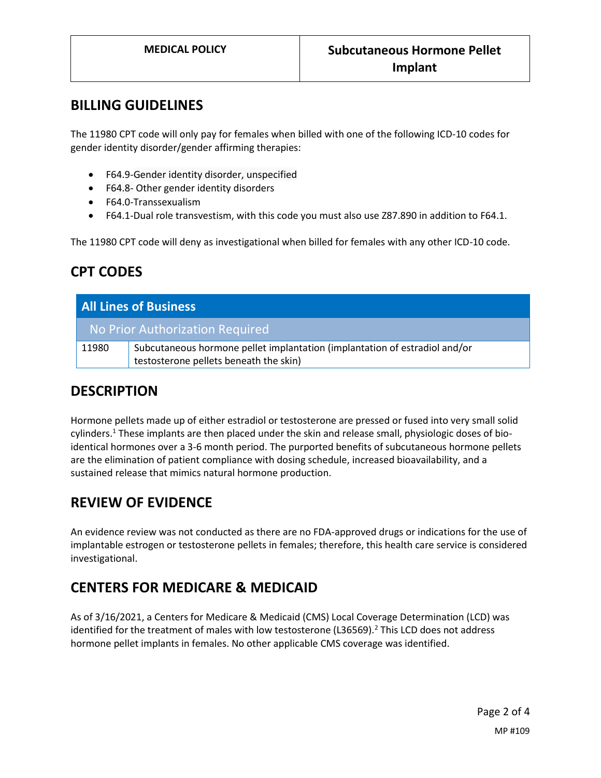### **BILLING GUIDELINES**

The 11980 CPT code will only pay for females when billed with one of the following ICD-10 codes for gender identity disorder/gender affirming therapies:

- F64.9-Gender identity disorder, unspecified
- F64.8- Other gender identity disorders
- F64.0-Transsexualism
- F64.1-Dual role transvestism, with this code you must also use Z87.890 in addition to F64.1.

The 11980 CPT code will deny as investigational when billed for females with any other ICD-10 code.

## **CPT CODES**

| <b>All Lines of Business</b>    |                                                                            |
|---------------------------------|----------------------------------------------------------------------------|
| No Prior Authorization Required |                                                                            |
| 11980                           | Subcutaneous hormone pellet implantation (implantation of estradiol and/or |
|                                 | testosterone pellets beneath the skin)                                     |

### **DESCRIPTION**

Hormone pellets made up of either estradiol or testosterone are pressed or fused into very small solid cylinders.<sup>1</sup> These implants are then placed under the skin and release small, physiologic doses of bioidentical hormones over a 3-6 month period. The purported benefits of subcutaneous hormone pellets are the elimination of patient compliance with dosing schedule, increased bioavailability, and a sustained release that mimics natural hormone production.

### **REVIEW OF EVIDENCE**

An evidence review was not conducted as there are no FDA-approved drugs or indications for the use of implantable estrogen or testosterone pellets in females; therefore, this health care service is considered investigational.

## <span id="page-1-0"></span>**CENTERS FOR MEDICARE & MEDICAID**

As of 3/16/2021, a Centers for Medicare & Medicaid (CMS) Local Coverage Determination (LCD) was identified for the treatment of males with low testosterone (L36569).<sup>2</sup> This LCD does not address hormone pellet implants in females. No other applicable CMS coverage was identified.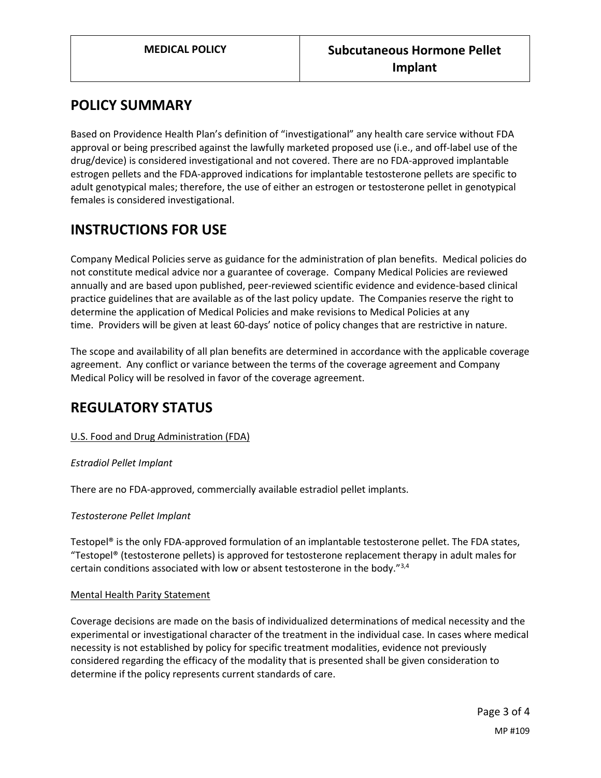## **POLICY SUMMARY**

Based on Providence Health Plan's definition of "investigational" any health care service without FDA approval or being prescribed against the lawfully marketed proposed use (i.e., and off-label use of the drug/device) is considered investigational and not covered. There are no FDA-approved implantable estrogen pellets and the FDA-approved indications for implantable testosterone pellets are specific to adult genotypical males; therefore, the use of either an estrogen or testosterone pellet in genotypical females is considered investigational.

## **INSTRUCTIONS FOR USE**

Company Medical Policies serve as guidance for the administration of plan benefits. Medical policies do not constitute medical advice nor a guarantee of coverage. Company Medical Policies are reviewed annually and are based upon published, peer-reviewed scientific evidence and evidence-based clinical practice guidelines that are available as of the last policy update. The Companies reserve the right to determine the application of Medical Policies and make revisions to Medical Policies at any time. Providers will be given at least 60-days' notice of policy changes that are restrictive in nature.

The scope and availability of all plan benefits are determined in accordance with the applicable coverage agreement. Any conflict or variance between the terms of the coverage agreement and Company Medical Policy will be resolved in favor of the coverage agreement.

## **REGULATORY STATUS**

#### U.S. Food and Drug Administration (FDA)

#### *Estradiol Pellet Implant*

There are no FDA-approved, commercially available estradiol pellet implants.

#### *Testosterone Pellet Implant*

Testopel® is the only FDA-approved formulation of an implantable testosterone pellet. The FDA states, "Testopel® (testosterone pellets) is approved for testosterone replacement therapy in adult males for certain conditions associated with low or absent testosterone in the body. $^{73,4}$ 

#### Mental Health Parity Statement

Coverage decisions are made on the basis of individualized determinations of medical necessity and the experimental or investigational character of the treatment in the individual case. In cases where medical necessity is not established by policy for specific treatment modalities, evidence not previously considered regarding the efficacy of the modality that is presented shall be given consideration to determine if the policy represents current standards of care.